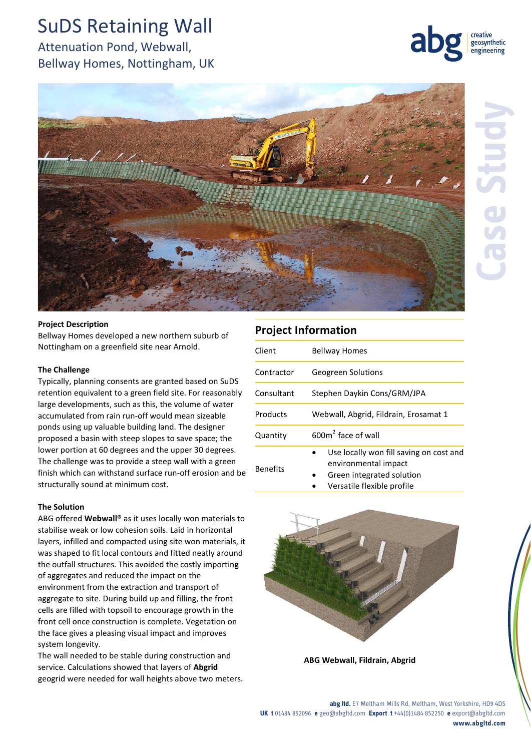## SuDS Retaining Wall

Attenuation Pond, Webwall, Bellway Homes, Nottingham, UK

### **Project Information**

Client Bellway Homes

Quantity

Benefits

Contractor Geogreen Solutions

Consultant Stephen Daykin Cons/GRM/JPA

Products Webwall, Abgrid, Fildrain, Erosamat 1

2 face of wall

environmental impact Green integrated solution Versatile flexible profile

Use locally won fill saving on cost and

**The Challenge** Typically, planning consents are granted based on SuDS retention equivalent to a green field site. For reasonably large developments, such as this, the volume of water accumulated from rain run-off would mean sizeable ponds using up valuable building land. The designer proposed a basin with steep slopes to save space; the lower portion at 60 degrees and the upper 30 degrees. The challenge was to provide a steep wall with a green finish which can withstand surface run-off erosion and be structurally sound at minimum cost.

Bellway Homes developed a new northern suburb of

Nottingham on a greenfield site near Arnold.

#### **The Solution**

ABG offered **Webwall®** as it uses locally won materials to stabilise weak or low cohesion soils. Laid in horizontal layers, infilled and compacted using site won materials, it was shaped to fit local contours and fitted neatly around the outfall structures. This avoided the costly importing of aggregates and reduced the impact on the environment from the extraction and transport of aggregate to site. During build up and filling, the front cells are filled with topsoil to encourage growth in the front cell once construction is complete. Vegetation on the face gives a pleasing visual impact and improves system longevity.

The wall needed to be stable during construction and service. Calculations showed that layers of **Abgrid** geogrid were needed for wall heights above two meters.